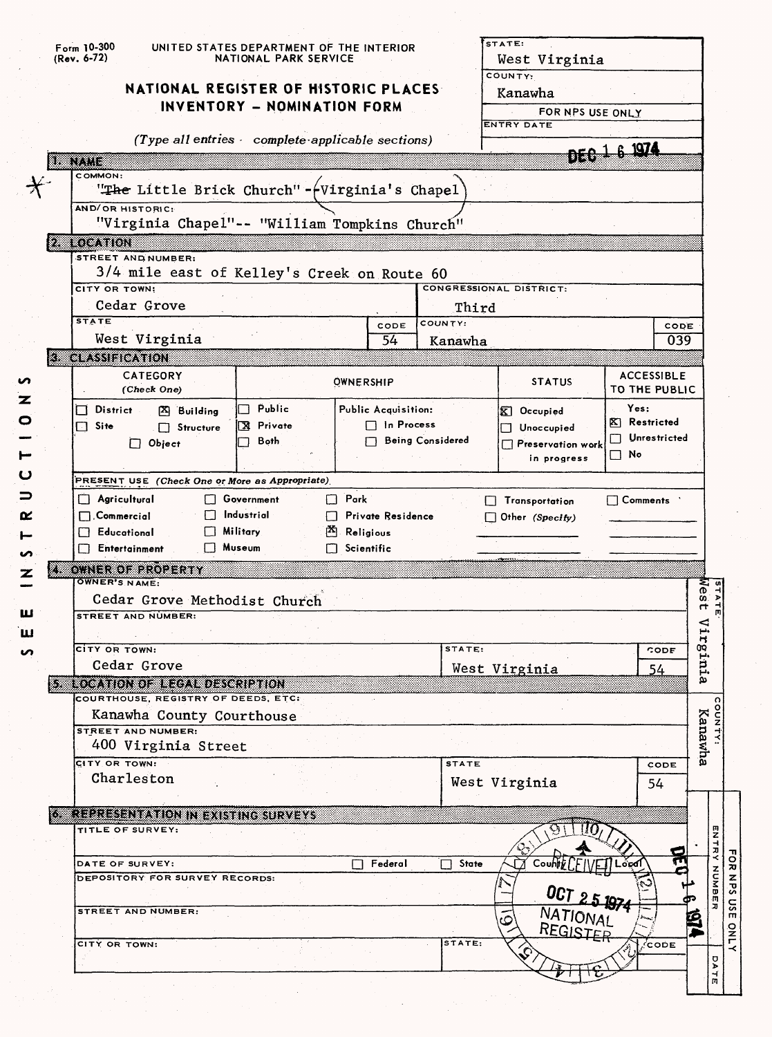| (Rev. 6-72)                                         |                                                           | NATIONAL PARK SERVICE       |                   |                                                 |                         | West Virginia<br>COUNTY:                 |                  |                              |
|-----------------------------------------------------|-----------------------------------------------------------|-----------------------------|-------------------|-------------------------------------------------|-------------------------|------------------------------------------|------------------|------------------------------|
|                                                     | NATIONAL REGISTER OF HISTORIC PLACES                      | INVENTORY - NOMINATION FORM |                   |                                                 |                         | Kanawha                                  |                  |                              |
|                                                     |                                                           |                             |                   |                                                 |                         | ENTRY DATE                               | FOR NPS USE ONLY |                              |
|                                                     | (Type all entries complete applicable sections)           |                             |                   |                                                 |                         |                                          |                  |                              |
| an dia kaominina mpika amin'ny fivondronan-kaominin |                                                           |                             |                   |                                                 |                         |                                          | DEC 1 6 1974     |                              |
| COMMON:                                             |                                                           |                             |                   |                                                 |                         |                                          |                  |                              |
|                                                     | "The Little Brick Church"-fVirginia's Chapel"             |                             |                   |                                                 |                         |                                          |                  |                              |
| AND/OR HISTORIC:                                    | "Virginia Chapel"-- "William Tompkins Church"             |                             |                   |                                                 |                         |                                          |                  |                              |
| LOCATION                                            |                                                           |                             |                   |                                                 |                         |                                          |                  |                              |
|                                                     | STREET AND NUMBER:                                        |                             |                   |                                                 |                         |                                          |                  |                              |
| CITY OR TOWN:                                       | 3/4 mile east of Kelley's Creek on Route 60               |                             |                   |                                                 |                         | <b>CONGRESSIONAL DISTRICT:</b>           |                  |                              |
|                                                     | Cedar Grove                                               |                             |                   |                                                 | Third                   |                                          |                  |                              |
| <b>STATE</b>                                        |                                                           |                             |                   | CODE                                            | COUNTY:                 |                                          |                  | CODE                         |
|                                                     | West Virginia                                             |                             |                   | 54                                              | Kanawha                 |                                          |                  | 039                          |
| <b>3 CLASSIFICATION</b>                             |                                                           |                             |                   |                                                 |                         |                                          |                  |                              |
|                                                     | <b>CATEGORY</b>                                           |                             |                   | <b>OWNERSHIP</b>                                |                         | <b>STATUS</b>                            |                  | <b>ACCESSIBLE</b>            |
|                                                     | (Check One)                                               |                             |                   |                                                 |                         |                                          | Yes:             | TO THE PUBLIC                |
| District<br>$\Box$<br>$\Box$ Site                   | $\mathbb{Z}$ Building                                     | Public<br>X Private         |                   | <b>Public Acquisition:</b><br>$\Box$ In Process |                         | $\mathbf{K}$ Occupied                    | X Restricted     |                              |
|                                                     | $\Box$ Structure<br>$\Box$ Object                         | Both                        |                   |                                                 | <b>Being Considered</b> | Unoccupied<br>Preservation work          |                  | Unrestricted                 |
|                                                     |                                                           |                             |                   |                                                 |                         | in progress                              | $\Box$ No        |                              |
|                                                     | PRESENT USE (Check One or More as Appropriate)            |                             |                   |                                                 |                         |                                          |                  |                              |
|                                                     |                                                           |                             |                   |                                                 |                         |                                          |                  |                              |
| $\Box$ Agricultural                                 |                                                           | □ Government                | $\Box$ Park       |                                                 |                         | $\mathsf{L}$                             |                  |                              |
| $\Box$ . Commercial                                 |                                                           | $\Box$ Industrial           |                   | Private Residence                               |                         | Transportation<br>$\Box$ Other (Specify) |                  | $\Box$ Comments $\therefore$ |
| $\Box$ Educational                                  |                                                           | <b>Military</b>             | Religious         |                                                 |                         |                                          |                  |                              |
| $\Box$ Entertainment                                |                                                           | $\Box$ Museum               | $\Box$ Scientific |                                                 |                         |                                          |                  |                              |
|                                                     | OWNER OF PROPERTY                                         |                             |                   |                                                 |                         |                                          |                  |                              |
| <b>OWNER'S NAME:</b>                                |                                                           |                             |                   |                                                 |                         |                                          |                  |                              |
| α.                                                  | Cedar Grove Methodist Church<br><b>STREET AND NUMBER:</b> |                             |                   |                                                 |                         |                                          |                  | <b>STATE</b><br>Mest         |
|                                                     |                                                           |                             |                   |                                                 |                         |                                          |                  | <<br>H.                      |
| CITY OR TOWN:                                       |                                                           |                             |                   |                                                 | STATE:                  |                                          |                  | CODE                         |
|                                                     | Cedar Grove                                               |                             |                   |                                                 |                         | West Virginia                            |                  | 54                           |
|                                                     | <b>SE COMONO ELONED SCALLION</b>                          |                             |                   |                                                 |                         |                                          |                  |                              |
|                                                     | COURTHOUSE, REGISTRY OF DEEDS, ETC:                       |                             |                   |                                                 |                         |                                          |                  |                              |
|                                                     | Kanawha County Courthouse<br>STREET AND NUMBER:           |                             |                   |                                                 |                         |                                          |                  |                              |
|                                                     | 400 Virginia Street                                       |                             |                   |                                                 |                         |                                          |                  |                              |
| <b>CITY OR TOWN:</b>                                |                                                           |                             |                   |                                                 | <b>STATE</b>            |                                          |                  | CODE                         |
|                                                     | Charleston                                                |                             |                   |                                                 |                         | West Virginia                            |                  | sinia<br>Kanawha<br>54       |
|                                                     |                                                           |                             |                   |                                                 |                         |                                          |                  |                              |
| TITLE OF SURVEY:                                    | 6. REPRESENTATION IN EXISTING SURVEYS                     |                             |                   |                                                 |                         |                                          |                  |                              |
|                                                     |                                                           |                             |                   |                                                 |                         |                                          |                  |                              |
| DATE OF SURVEY:                                     |                                                           |                             |                   | Federal                                         | <b>State</b>            |                                          |                  |                              |
|                                                     | DEPOSITORY FOR SURVEY RECORDS:                            |                             |                   |                                                 |                         |                                          |                  |                              |
|                                                     |                                                           |                             |                   |                                                 |                         | OCT 25 1974                              |                  |                              |
|                                                     | STREET AND NUMBER:                                        |                             |                   |                                                 |                         |                                          |                  |                              |
| CITY OR TOWN:                                       |                                                           |                             |                   |                                                 | STATE:                  | NATIONAL<br>REGISTER                     |                  | ∕сорв                        |
|                                                     |                                                           |                             |                   |                                                 |                         |                                          |                  |                              |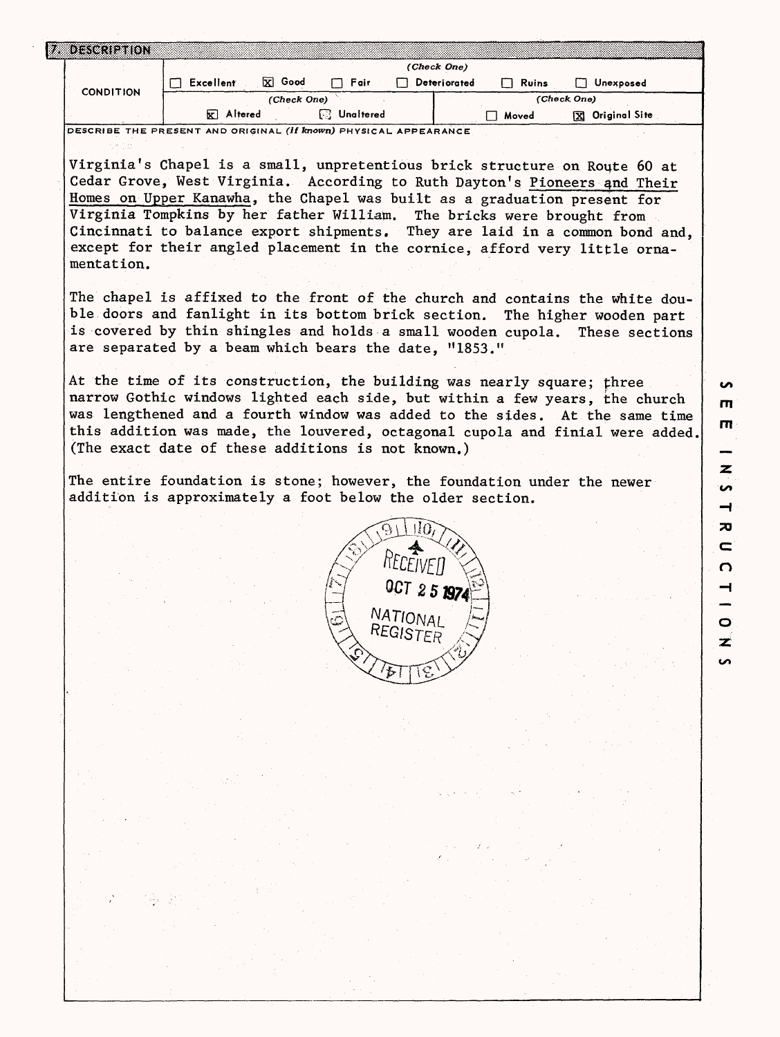| <b>CONDITION</b><br>DESCRIBE THE PRESENT AND ORIGINAL (if known) PHYSICAL APPEARANCE<br>Virginia's Chapel is a small, unpretentious brick structure on Route 60 at<br>Cedar Grove, West Virginia. According to Ruth Dayton's Pioneers and Their<br>Homes on Upper Kanawha, the Chapel was built as a graduation present for<br>Virginia Tompkins by her father William. The bricks were brought from<br>Cincinnati to balance export shipments. They are laid in a common bond and,<br>except for their angled placement in the cornice, afford very little orna-<br>mentation.<br>The chapel is affixed to the front of the church and contains the white dou-<br>ble doors and fanlight in its bottom brick section. The higher wooden part<br>is covered by thin shingles and holds a small wooden cupola.<br>are separated by a beam which bears the date, "1853."<br>At the time of its construction, the building was nearly square; three<br>(The exact date of these additions is not known.) | $\Box$ Excellent<br>$\mathbf{\nabla}$ Altered | 区 Good<br>(Check One) | $\Box$ Fair<br><b>B</b> Unaltered | $\Box$ Deteriorated | $\Box$ Ruins<br>$\Box$ Moved | □ Unexposed<br>(Check One)<br>X Original Site | These sections |
|-------------------------------------------------------------------------------------------------------------------------------------------------------------------------------------------------------------------------------------------------------------------------------------------------------------------------------------------------------------------------------------------------------------------------------------------------------------------------------------------------------------------------------------------------------------------------------------------------------------------------------------------------------------------------------------------------------------------------------------------------------------------------------------------------------------------------------------------------------------------------------------------------------------------------------------------------------------------------------------------------------|-----------------------------------------------|-----------------------|-----------------------------------|---------------------|------------------------------|-----------------------------------------------|----------------|
|                                                                                                                                                                                                                                                                                                                                                                                                                                                                                                                                                                                                                                                                                                                                                                                                                                                                                                                                                                                                       |                                               |                       |                                   |                     |                              |                                               |                |
|                                                                                                                                                                                                                                                                                                                                                                                                                                                                                                                                                                                                                                                                                                                                                                                                                                                                                                                                                                                                       |                                               |                       |                                   |                     |                              |                                               |                |
|                                                                                                                                                                                                                                                                                                                                                                                                                                                                                                                                                                                                                                                                                                                                                                                                                                                                                                                                                                                                       |                                               |                       |                                   |                     |                              |                                               |                |
|                                                                                                                                                                                                                                                                                                                                                                                                                                                                                                                                                                                                                                                                                                                                                                                                                                                                                                                                                                                                       |                                               |                       |                                   |                     |                              |                                               |                |
|                                                                                                                                                                                                                                                                                                                                                                                                                                                                                                                                                                                                                                                                                                                                                                                                                                                                                                                                                                                                       |                                               |                       |                                   |                     |                              |                                               |                |
|                                                                                                                                                                                                                                                                                                                                                                                                                                                                                                                                                                                                                                                                                                                                                                                                                                                                                                                                                                                                       |                                               |                       |                                   |                     |                              |                                               |                |
|                                                                                                                                                                                                                                                                                                                                                                                                                                                                                                                                                                                                                                                                                                                                                                                                                                                                                                                                                                                                       |                                               |                       |                                   |                     |                              |                                               |                |
|                                                                                                                                                                                                                                                                                                                                                                                                                                                                                                                                                                                                                                                                                                                                                                                                                                                                                                                                                                                                       |                                               |                       |                                   |                     |                              |                                               |                |
|                                                                                                                                                                                                                                                                                                                                                                                                                                                                                                                                                                                                                                                                                                                                                                                                                                                                                                                                                                                                       |                                               |                       |                                   |                     |                              |                                               |                |
|                                                                                                                                                                                                                                                                                                                                                                                                                                                                                                                                                                                                                                                                                                                                                                                                                                                                                                                                                                                                       |                                               |                       |                                   |                     |                              |                                               |                |
|                                                                                                                                                                                                                                                                                                                                                                                                                                                                                                                                                                                                                                                                                                                                                                                                                                                                                                                                                                                                       |                                               |                       |                                   |                     |                              |                                               |                |
|                                                                                                                                                                                                                                                                                                                                                                                                                                                                                                                                                                                                                                                                                                                                                                                                                                                                                                                                                                                                       |                                               |                       |                                   |                     |                              |                                               |                |
|                                                                                                                                                                                                                                                                                                                                                                                                                                                                                                                                                                                                                                                                                                                                                                                                                                                                                                                                                                                                       |                                               |                       |                                   |                     |                              |                                               |                |
|                                                                                                                                                                                                                                                                                                                                                                                                                                                                                                                                                                                                                                                                                                                                                                                                                                                                                                                                                                                                       |                                               |                       |                                   |                     |                              |                                               |                |
|                                                                                                                                                                                                                                                                                                                                                                                                                                                                                                                                                                                                                                                                                                                                                                                                                                                                                                                                                                                                       |                                               |                       |                                   |                     |                              |                                               |                |
|                                                                                                                                                                                                                                                                                                                                                                                                                                                                                                                                                                                                                                                                                                                                                                                                                                                                                                                                                                                                       |                                               |                       |                                   |                     |                              |                                               |                |
| narrow Gothic windows lighted each side, but within a few years, the church<br>was lengthened and a fourth window was added to the sides. At the same time<br>this addition was made, the louvered, octagonal cupola and finial were added.                                                                                                                                                                                                                                                                                                                                                                                                                                                                                                                                                                                                                                                                                                                                                           |                                               |                       |                                   |                     |                              |                                               |                |
|                                                                                                                                                                                                                                                                                                                                                                                                                                                                                                                                                                                                                                                                                                                                                                                                                                                                                                                                                                                                       |                                               |                       |                                   |                     |                              |                                               |                |
|                                                                                                                                                                                                                                                                                                                                                                                                                                                                                                                                                                                                                                                                                                                                                                                                                                                                                                                                                                                                       |                                               |                       |                                   |                     |                              |                                               |                |
|                                                                                                                                                                                                                                                                                                                                                                                                                                                                                                                                                                                                                                                                                                                                                                                                                                                                                                                                                                                                       |                                               |                       |                                   |                     |                              |                                               |                |
|                                                                                                                                                                                                                                                                                                                                                                                                                                                                                                                                                                                                                                                                                                                                                                                                                                                                                                                                                                                                       |                                               |                       |                                   |                     |                              |                                               |                |
|                                                                                                                                                                                                                                                                                                                                                                                                                                                                                                                                                                                                                                                                                                                                                                                                                                                                                                                                                                                                       |                                               |                       |                                   |                     |                              |                                               |                |
| The entire foundation is stone; however, the foundation under the newer                                                                                                                                                                                                                                                                                                                                                                                                                                                                                                                                                                                                                                                                                                                                                                                                                                                                                                                               |                                               |                       |                                   |                     |                              |                                               |                |
| addition is approximately a foot below the older section.                                                                                                                                                                                                                                                                                                                                                                                                                                                                                                                                                                                                                                                                                                                                                                                                                                                                                                                                             |                                               |                       |                                   |                     |                              |                                               |                |
|                                                                                                                                                                                                                                                                                                                                                                                                                                                                                                                                                                                                                                                                                                                                                                                                                                                                                                                                                                                                       |                                               |                       |                                   |                     |                              |                                               |                |
|                                                                                                                                                                                                                                                                                                                                                                                                                                                                                                                                                                                                                                                                                                                                                                                                                                                                                                                                                                                                       |                                               |                       |                                   |                     |                              |                                               |                |
|                                                                                                                                                                                                                                                                                                                                                                                                                                                                                                                                                                                                                                                                                                                                                                                                                                                                                                                                                                                                       |                                               |                       |                                   |                     |                              |                                               |                |
|                                                                                                                                                                                                                                                                                                                                                                                                                                                                                                                                                                                                                                                                                                                                                                                                                                                                                                                                                                                                       |                                               |                       |                                   |                     |                              |                                               |                |
|                                                                                                                                                                                                                                                                                                                                                                                                                                                                                                                                                                                                                                                                                                                                                                                                                                                                                                                                                                                                       |                                               |                       |                                   | OCT 25 1974         |                              |                                               |                |
|                                                                                                                                                                                                                                                                                                                                                                                                                                                                                                                                                                                                                                                                                                                                                                                                                                                                                                                                                                                                       |                                               |                       |                                   |                     |                              |                                               |                |
|                                                                                                                                                                                                                                                                                                                                                                                                                                                                                                                                                                                                                                                                                                                                                                                                                                                                                                                                                                                                       |                                               |                       |                                   |                     |                              |                                               |                |
|                                                                                                                                                                                                                                                                                                                                                                                                                                                                                                                                                                                                                                                                                                                                                                                                                                                                                                                                                                                                       |                                               |                       |                                   | REGISTER            |                              |                                               |                |
|                                                                                                                                                                                                                                                                                                                                                                                                                                                                                                                                                                                                                                                                                                                                                                                                                                                                                                                                                                                                       |                                               |                       |                                   |                     |                              |                                               |                |
|                                                                                                                                                                                                                                                                                                                                                                                                                                                                                                                                                                                                                                                                                                                                                                                                                                                                                                                                                                                                       |                                               |                       |                                   |                     |                              |                                               |                |
|                                                                                                                                                                                                                                                                                                                                                                                                                                                                                                                                                                                                                                                                                                                                                                                                                                                                                                                                                                                                       |                                               |                       |                                   |                     |                              |                                               |                |
|                                                                                                                                                                                                                                                                                                                                                                                                                                                                                                                                                                                                                                                                                                                                                                                                                                                                                                                                                                                                       |                                               |                       |                                   |                     |                              |                                               |                |
|                                                                                                                                                                                                                                                                                                                                                                                                                                                                                                                                                                                                                                                                                                                                                                                                                                                                                                                                                                                                       |                                               |                       |                                   |                     |                              |                                               |                |
|                                                                                                                                                                                                                                                                                                                                                                                                                                                                                                                                                                                                                                                                                                                                                                                                                                                                                                                                                                                                       |                                               |                       |                                   |                     |                              |                                               |                |
|                                                                                                                                                                                                                                                                                                                                                                                                                                                                                                                                                                                                                                                                                                                                                                                                                                                                                                                                                                                                       |                                               |                       |                                   |                     |                              |                                               |                |
|                                                                                                                                                                                                                                                                                                                                                                                                                                                                                                                                                                                                                                                                                                                                                                                                                                                                                                                                                                                                       |                                               |                       |                                   |                     |                              |                                               |                |
|                                                                                                                                                                                                                                                                                                                                                                                                                                                                                                                                                                                                                                                                                                                                                                                                                                                                                                                                                                                                       |                                               |                       |                                   |                     |                              |                                               |                |
|                                                                                                                                                                                                                                                                                                                                                                                                                                                                                                                                                                                                                                                                                                                                                                                                                                                                                                                                                                                                       |                                               |                       |                                   |                     |                              |                                               |                |
|                                                                                                                                                                                                                                                                                                                                                                                                                                                                                                                                                                                                                                                                                                                                                                                                                                                                                                                                                                                                       |                                               |                       |                                   |                     |                              |                                               |                |
|                                                                                                                                                                                                                                                                                                                                                                                                                                                                                                                                                                                                                                                                                                                                                                                                                                                                                                                                                                                                       |                                               |                       |                                   |                     |                              |                                               |                |
|                                                                                                                                                                                                                                                                                                                                                                                                                                                                                                                                                                                                                                                                                                                                                                                                                                                                                                                                                                                                       |                                               |                       |                                   |                     |                              |                                               |                |
|                                                                                                                                                                                                                                                                                                                                                                                                                                                                                                                                                                                                                                                                                                                                                                                                                                                                                                                                                                                                       |                                               |                       |                                   |                     |                              |                                               |                |
|                                                                                                                                                                                                                                                                                                                                                                                                                                                                                                                                                                                                                                                                                                                                                                                                                                                                                                                                                                                                       |                                               |                       |                                   |                     |                              |                                               |                |
|                                                                                                                                                                                                                                                                                                                                                                                                                                                                                                                                                                                                                                                                                                                                                                                                                                                                                                                                                                                                       |                                               |                       |                                   |                     |                              |                                               |                |
|                                                                                                                                                                                                                                                                                                                                                                                                                                                                                                                                                                                                                                                                                                                                                                                                                                                                                                                                                                                                       |                                               |                       |                                   |                     |                              |                                               |                |
|                                                                                                                                                                                                                                                                                                                                                                                                                                                                                                                                                                                                                                                                                                                                                                                                                                                                                                                                                                                                       |                                               |                       |                                   |                     |                              |                                               |                |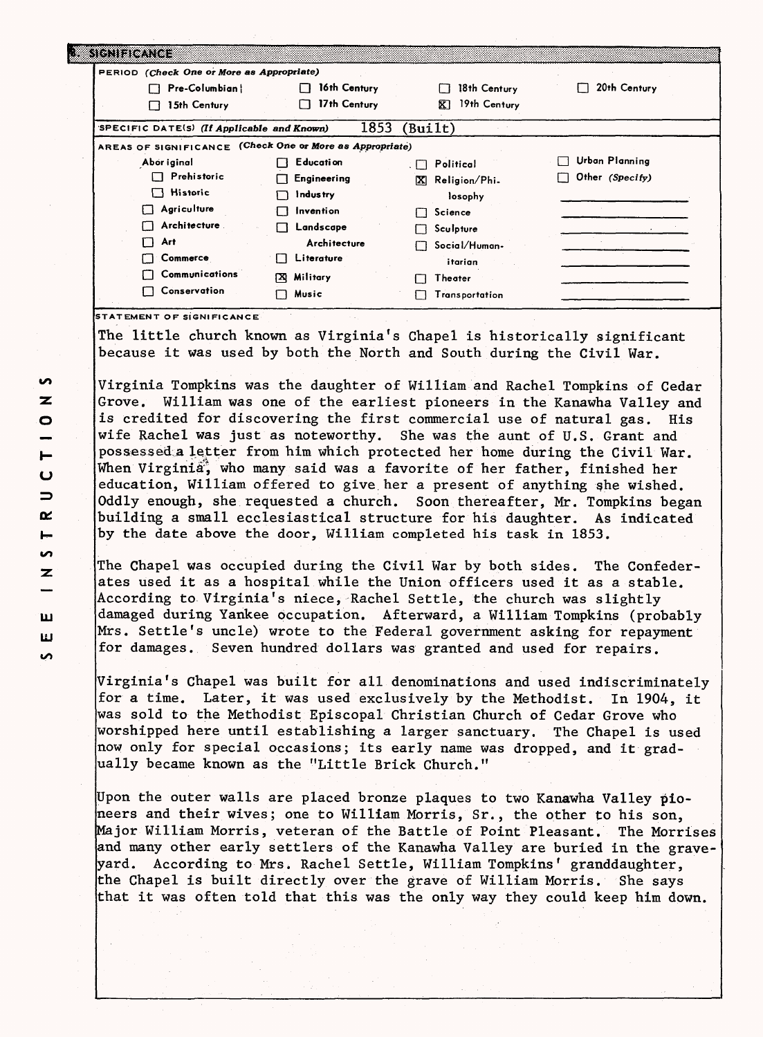| PERIOD (Check One or More as Appropriate)                |                   |                                       |                 |
|----------------------------------------------------------|-------------------|---------------------------------------|-----------------|
| Pre-Columbian!<br>П                                      | 16th Century      | 18th Century<br>l 1                   | 20th Century    |
| 15th Century<br>П                                        | 17th Century<br>П | 19th Century<br>囨                     |                 |
| SPECIFIC DATE(S) (If Applicable and Known)               | 1853              | (Buit)                                |                 |
| AREAS OF SIGNIFICANCE (Check One or More as Appropriate) |                   |                                       |                 |
| Abor iginal                                              | Education         | Political<br>$\overline{\phantom{a}}$ | Urban Planning  |
| Prehistoric<br>п                                         | Engineering       | Religion/Phi.<br>IX.                  | Other (Specify) |
| $\Box$ Historic                                          | <b>Industry</b>   | losophy                               |                 |
| Agriculture<br>П                                         | Invention         | Science<br>11                         |                 |
| Architecture                                             | Landscape         | $\Box$ Sculpture                      |                 |
| Art                                                      | Architecture      | Social/Human-                         |                 |
| Commerce                                                 | Literature        | itarian                               |                 |
| Communications                                           | Military<br>ſХ    | Theater                               |                 |
| Conservation                                             | Music             | Transportation                        |                 |

because it was used by both the North and South during the Civil War.

Virginia Tompkins was the daughter of William and Rachel Tompkins of Cedar Grove. William was one of the earliest pioneers in the Kanawha Valley and is credited for discovering the first commercial use of natural gas. His wife Rachel was just as noteworthy. She was the aunt of U.S. Grant and possessed a letter from him which protected her home during the Civil War. When Virginia<sup>\*</sup> who many said was a favorite of her father, finished her education, William offered to give her a present of anything she wished. Oddly enough, she requested a church. Soon thereafter, Mr. Tompkins began building a small ecclesiastical structure for his daughter. As indicated by the date above the door, William completed his task in 1853.

The Chapel was occupied during the Civil War by both sides. The Confederates used it as a hospital while the Union officers used it as a stable. According to Virginia's niece, Rachel Settle, the church was slightly damaged during Yankee occupation. Afterward, a William Tompkins (probably Mrs. Settle's uncle) wrote to the Federal government asking for repayment for damages. Seven hundred dollars was granted and used for repairs.

Virginia's Chapel was built for all denominations and used indiscriminately for a time. Later, it was used exclusively by the Methodist. In 1904, it was sold to the Methodist Episcopal Christian Church of Cedar Grove who worshipped here until establishing a larger sanctuary. The Chapel is used now only for special occasions; its early name was dropped, and it gradually became known as the "Little Brick Church."

Upon the outer walls are placed bronze plaques to two Kanawha Valley pioneers and their wives; one to William Morris, Sr., the other to his son, Major William Morris, veteran of the Battle of Point Pleasant. The Morrises and many other early settlers of the Kanawha Valley are buried in the graveyard. According to Mrs. Rachel Settle, William Tompkins' granddaughter, the Chapel is built directly over the grave of William Morris. She says that it was often told that this was the only way they could keep him down.